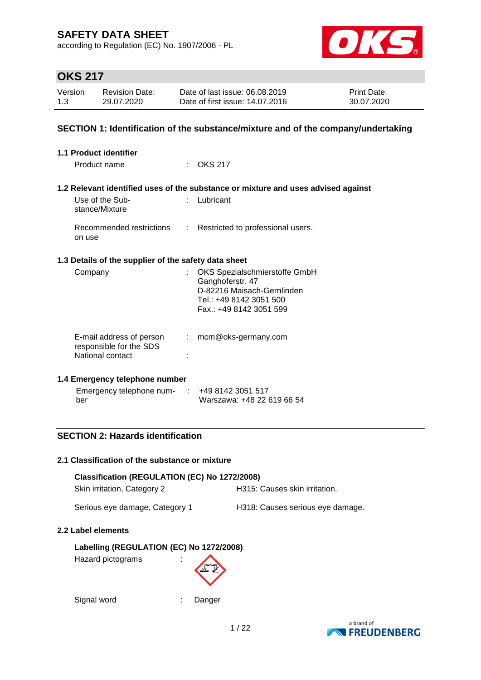according to Regulation (EC) No. 1907/2006 - PL



## **OKS 217**

| Version | <b>Revision Date:</b> | Date of last issue: 06.08.2019  | <b>Print Date:</b> |
|---------|-----------------------|---------------------------------|--------------------|
| 1.3     | 29.07.2020            | Date of first issue: 14.07.2016 | 30.07.2020         |

### **SECTION 1: Identification of the substance/mixture and of the company/undertaking**

| <b>1.1 Product identifier</b>                                           |                    |                                                                                                                                       |
|-------------------------------------------------------------------------|--------------------|---------------------------------------------------------------------------------------------------------------------------------------|
| Product name                                                            |                    | $\therefore$ OKS 217                                                                                                                  |
|                                                                         |                    | 1.2 Relevant identified uses of the substance or mixture and uses advised against                                                     |
| Use of the Sub-<br>stance/Mixture                                       |                    | Lubricant                                                                                                                             |
| Recommended restrictions<br>on use                                      | $\mathbb{Z}^{n-1}$ | Restricted to professional users.                                                                                                     |
| 1.3 Details of the supplier of the safety data sheet                    |                    |                                                                                                                                       |
| Company                                                                 |                    | OKS Spezialschmierstoffe GmbH<br>Ganghoferstr. 47<br>D-82216 Maisach-Gernlinden<br>Tel.: +49 8142 3051 500<br>Fax.: +49 8142 3051 599 |
| E-mail address of person<br>responsible for the SDS<br>National contact | ÷.                 | mcm@oks-germany.com                                                                                                                   |

### **1.4 Emergency telephone number**

| Emergency telephone num- | $\div$ +49 8142 3051 517   |
|--------------------------|----------------------------|
| ber                      | Warszawa: +48 22 619 66 54 |

### **SECTION 2: Hazards identification**

#### **2.1 Classification of the substance or mixture**

| Classification (REGULATION (EC) No 1272/2008) |                                  |  |  |  |  |
|-----------------------------------------------|----------------------------------|--|--|--|--|
| Skin irritation, Category 2                   | H315: Causes skin irritation.    |  |  |  |  |
| Serious eye damage, Category 1                | H318: Causes serious eye damage. |  |  |  |  |

### **2.2 Label elements**

### **Labelling (REGULATION (EC) No 1272/2008)**

Hazard pictograms :



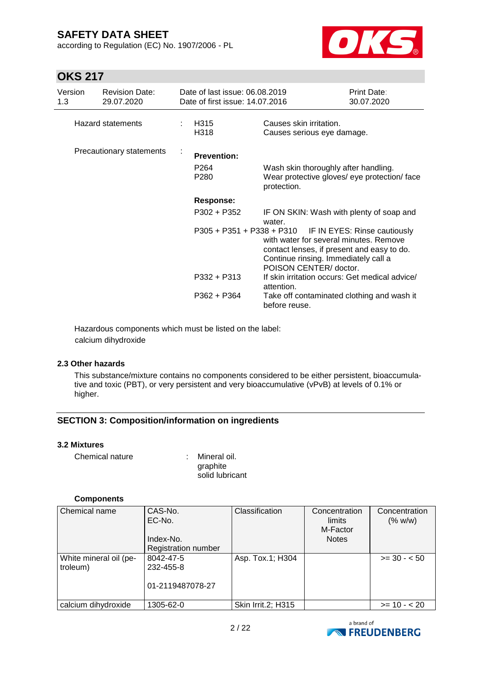according to Regulation (EC) No. 1907/2006 - PL



## **OKS 217**

| Version<br>1.3           | <b>Revision Date:</b><br>29.07.2020 | Date of last issue: 06.08.2019<br>Date of first issue: 14.07.2016 |                                                                                                                                                                                                                  | Print Date:<br>30.07.2020 |
|--------------------------|-------------------------------------|-------------------------------------------------------------------|------------------------------------------------------------------------------------------------------------------------------------------------------------------------------------------------------------------|---------------------------|
| <b>Hazard statements</b> |                                     | H315<br>H318                                                      | Causes skin irritation.<br>Causes serious eye damage.                                                                                                                                                            |                           |
|                          | Precautionary statements            | <b>Prevention:</b>                                                |                                                                                                                                                                                                                  |                           |
|                          |                                     | P <sub>264</sub><br>P <sub>280</sub>                              | Wash skin thoroughly after handling.<br>Wear protective gloves/ eye protection/ face<br>protection.                                                                                                              |                           |
|                          |                                     | Response:                                                         |                                                                                                                                                                                                                  |                           |
|                          |                                     | $P302 + P352$                                                     | IF ON SKIN: Wash with plenty of soap and<br>water.                                                                                                                                                               |                           |
|                          |                                     |                                                                   | P305 + P351 + P338 + P310 IF IN EYES: Rinse cautiously<br>with water for several minutes. Remove<br>contact lenses, if present and easy to do.<br>Continue rinsing. Immediately call a<br>POISON CENTER/ doctor. |                           |
|                          |                                     | $P332 + P313$                                                     | If skin irritation occurs: Get medical advice/<br>attention.                                                                                                                                                     |                           |
|                          |                                     | P362 + P364                                                       | Take off contaminated clothing and wash it<br>before reuse.                                                                                                                                                      |                           |

Hazardous components which must be listed on the label: calcium dihydroxide

### **2.3 Other hazards**

This substance/mixture contains no components considered to be either persistent, bioaccumulative and toxic (PBT), or very persistent and very bioaccumulative (vPvB) at levels of 0.1% or higher.

### **SECTION 3: Composition/information on ingredients**

### **3.2 Mixtures**

| Chemical nature | : Mineral oil.  |
|-----------------|-----------------|
|                 | graphite        |
|                 | solid lubricant |

### **Components**

| Chemical name          | CAS-No.                    | Classification     | Concentration | Concentration |
|------------------------|----------------------------|--------------------|---------------|---------------|
|                        | EC-No.                     |                    | limits        | (% w/w)       |
|                        |                            |                    | M-Factor      |               |
|                        | Index-No.                  |                    | <b>Notes</b>  |               |
|                        | <b>Registration number</b> |                    |               |               |
| White mineral oil (pe- | 8042-47-5                  | Asp. Tox.1; H304   |               | $>= 30 - 50$  |
| troleum)               | 232-455-8                  |                    |               |               |
|                        |                            |                    |               |               |
|                        | 01-2119487078-27           |                    |               |               |
|                        |                            |                    |               |               |
| calcium dihydroxide    | 1305-62-0                  | Skin Irrit.2; H315 |               | $>= 10 - 20$  |

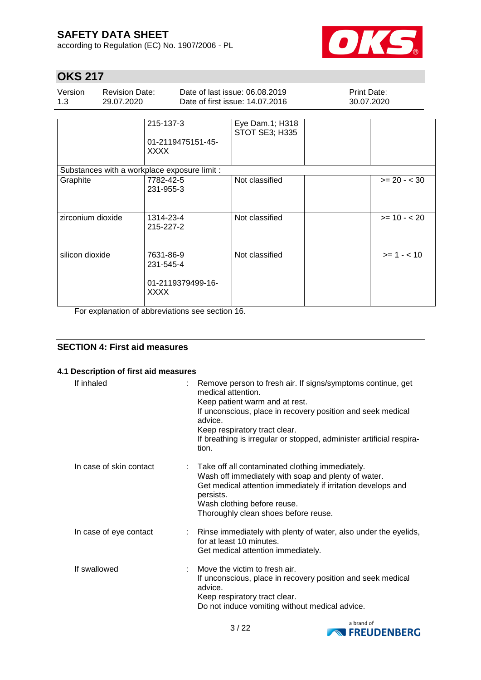according to Regulation (EC) No. 1907/2006 - PL



## **OKS 217**

| Version<br>1.3    | <b>Revision Date:</b><br>29.07.2020 |                                                            | Date of last issue: 06.08.2019<br>Date of first issue: 14,07,2016 | Print Date:<br>30.07.2020 |                |
|-------------------|-------------------------------------|------------------------------------------------------------|-------------------------------------------------------------------|---------------------------|----------------|
|                   |                                     | 215-137-3<br>01-2119475151-45-<br><b>XXXX</b>              | Eye Dam.1; H318<br>STOT SE3; H335                                 |                           |                |
|                   |                                     | Substances with a workplace exposure limit :               |                                                                   |                           |                |
| Graphite          |                                     | 7782-42-5<br>231-955-3                                     | Not classified                                                    |                           | $>= 20 - < 30$ |
| zirconium dioxide |                                     | 1314-23-4<br>215-227-2                                     | Not classified                                                    |                           | $>= 10 - 20$   |
| silicon dioxide   |                                     | 7631-86-9<br>231-545-4<br>01-2119379499-16-<br><b>XXXX</b> | Not classified                                                    |                           | $>= 1 - < 10$  |

For explanation of abbreviations see section 16.

### **SECTION 4: First aid measures**

### **4.1 Description of first aid measures**

| If inhaled              | Remove person to fresh air. If signs/symptoms continue, get<br>medical attention.<br>Keep patient warm and at rest.<br>If unconscious, place in recovery position and seek medical<br>advice.<br>Keep respiratory tract clear.<br>If breathing is irregular or stopped, administer artificial respira-<br>tion. |
|-------------------------|-----------------------------------------------------------------------------------------------------------------------------------------------------------------------------------------------------------------------------------------------------------------------------------------------------------------|
| In case of skin contact | : Take off all contaminated clothing immediately.<br>Wash off immediately with soap and plenty of water.<br>Get medical attention immediately if irritation develops and<br>persists.<br>Wash clothing before reuse.<br>Thoroughly clean shoes before reuse.                                                    |
| In case of eye contact  | : Rinse immediately with plenty of water, also under the eyelids,<br>for at least 10 minutes.<br>Get medical attention immediately.                                                                                                                                                                             |
| If swallowed            | Move the victim to fresh air.<br>If unconscious, place in recovery position and seek medical<br>advice.<br>Keep respiratory tract clear.<br>Do not induce vomiting without medical advice.                                                                                                                      |

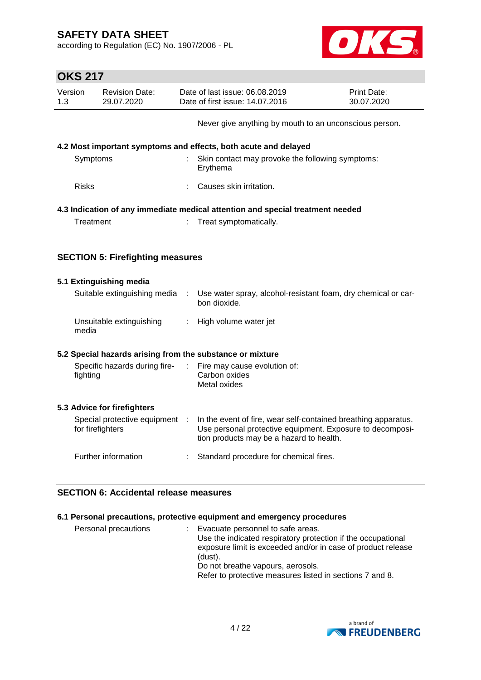according to Regulation (EC) No. 1907/2006 - PL



| <b>OKS 217</b> |                                                    |            |                                                                                                                                                                         |                           |  |
|----------------|----------------------------------------------------|------------|-------------------------------------------------------------------------------------------------------------------------------------------------------------------------|---------------------------|--|
| Version<br>1.3 | <b>Revision Date:</b><br>29.07.2020                |            | Date of last issue: 06.08.2019<br>Date of first issue: 14.07.2016                                                                                                       | Print Date:<br>30.07.2020 |  |
|                |                                                    |            | Never give anything by mouth to an unconscious person.                                                                                                                  |                           |  |
|                |                                                    |            | 4.2 Most important symptoms and effects, both acute and delayed                                                                                                         |                           |  |
| Symptoms       |                                                    |            | Skin contact may provoke the following symptoms:<br>Erythema                                                                                                            |                           |  |
| <b>Risks</b>   |                                                    |            | Causes skin irritation.                                                                                                                                                 |                           |  |
|                |                                                    |            | 4.3 Indication of any immediate medical attention and special treatment needed                                                                                          |                           |  |
| Treatment      |                                                    |            | Treat symptomatically.                                                                                                                                                  |                           |  |
|                |                                                    |            |                                                                                                                                                                         |                           |  |
|                | <b>SECTION 5: Firefighting measures</b>            |            |                                                                                                                                                                         |                           |  |
|                | 5.1 Extinguishing media                            |            |                                                                                                                                                                         |                           |  |
|                | Suitable extinguishing media                       | $\sim$ 100 | Use water spray, alcohol-resistant foam, dry chemical or car-<br>bon dioxide.                                                                                           |                           |  |
| media          | Unsuitable extinguishing                           | ÷.         | High volume water jet                                                                                                                                                   |                           |  |
|                |                                                    |            |                                                                                                                                                                         |                           |  |
|                |                                                    |            | 5.2 Special hazards arising from the substance or mixture                                                                                                               |                           |  |
| fighting       | Specific hazards during fire-                      | ÷.         | Fire may cause evolution of:<br>Carbon oxides<br>Metal oxides                                                                                                           |                           |  |
|                | 5.3 Advice for firefighters                        |            |                                                                                                                                                                         |                           |  |
|                | Special protective equipment :<br>for firefighters |            | In the event of fire, wear self-contained breathing apparatus.<br>Use personal protective equipment. Exposure to decomposi-<br>tion products may be a hazard to health. |                           |  |
|                | Further information                                |            | Standard procedure for chemical fires.                                                                                                                                  |                           |  |

### **SECTION 6: Accidental release measures**

### **6.1 Personal precautions, protective equipment and emergency procedures**

| Personal precautions |  | Evacuate personnel to safe areas.<br>Use the indicated respiratory protection if the occupational<br>exposure limit is exceeded and/or in case of product release<br>(dust).<br>Do not breathe vapours, aerosols.<br>Refer to protective measures listed in sections 7 and 8. |
|----------------------|--|-------------------------------------------------------------------------------------------------------------------------------------------------------------------------------------------------------------------------------------------------------------------------------|
|----------------------|--|-------------------------------------------------------------------------------------------------------------------------------------------------------------------------------------------------------------------------------------------------------------------------------|

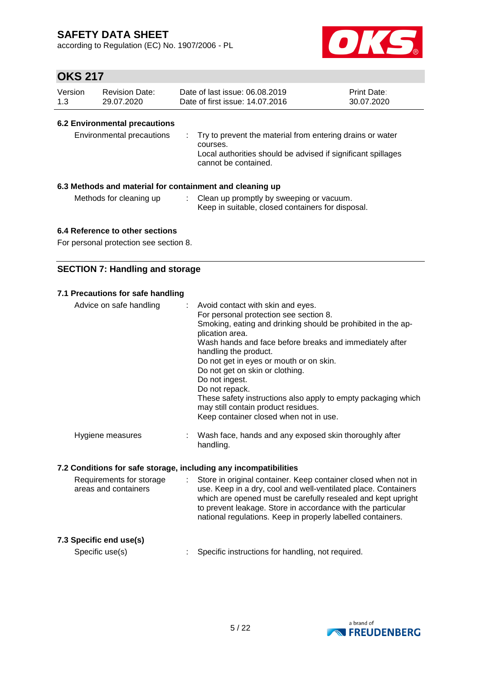according to Regulation (EC) No. 1907/2006 - PL



### **OKS 217**

| Version | <b>Revision Date:</b> | Date of last issue: 06.08.2019  | <b>Print Date:</b> |
|---------|-----------------------|---------------------------------|--------------------|
| 1.3     | 29.07.2020            | Date of first issue: 14.07.2016 | 30.07.2020         |

### **6.2 Environmental precautions**

| : Try to prevent the material from entering drains or water<br>courses.<br>Local authorities should be advised if significant spillages<br>cannot be contained. |
|-----------------------------------------------------------------------------------------------------------------------------------------------------------------|
|                                                                                                                                                                 |

### **6.3 Methods and material for containment and cleaning up**

- Methods for cleaning up : Clean up promptly by sweeping or vacuum.
	- Keep in suitable, closed containers for disposal.

### **6.4 Reference to other sections**

For personal protection see section 8.

### **SECTION 7: Handling and storage**

### **7.1 Precautions for safe handling**

| Advice on safe handling                                          | ÷ | Avoid contact with skin and eyes.<br>For personal protection see section 8.<br>Smoking, eating and drinking should be prohibited in the ap-<br>plication area.<br>Wash hands and face before breaks and immediately after<br>handling the product.<br>Do not get in eyes or mouth or on skin.<br>Do not get on skin or clothing.<br>Do not ingest. |  |  |  |  |
|------------------------------------------------------------------|---|----------------------------------------------------------------------------------------------------------------------------------------------------------------------------------------------------------------------------------------------------------------------------------------------------------------------------------------------------|--|--|--|--|
|                                                                  |   | Do not repack.<br>These safety instructions also apply to empty packaging which<br>may still contain product residues.<br>Keep container closed when not in use.                                                                                                                                                                                   |  |  |  |  |
| Hygiene measures                                                 |   | Wash face, hands and any exposed skin thoroughly after<br>handling.                                                                                                                                                                                                                                                                                |  |  |  |  |
| 7.2 Conditions for safe storage, including any incompatibilities |   |                                                                                                                                                                                                                                                                                                                                                    |  |  |  |  |
|                                                                  |   |                                                                                                                                                                                                                                                                                                                                                    |  |  |  |  |

Requirements for storage areas and containers : Store in original container. Keep container closed when not in use. Keep in a dry, cool and well-ventilated place. Containers which are opened must be carefully resealed and kept upright to prevent leakage. Store in accordance with the particular national regulations. Keep in properly labelled containers.

### **7.3 Specific end use(s)**

Specific use(s) : Specific instructions for handling, not required.

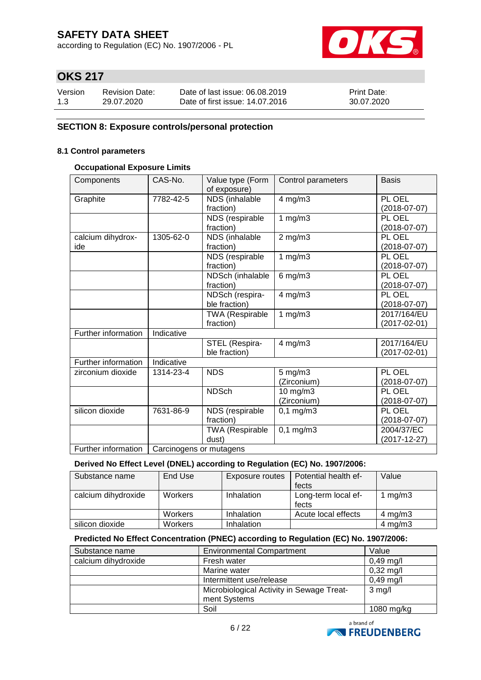according to Regulation (EC) No. 1907/2006 - PL



## **OKS 217**

| Version | Revision Date: | Date of last issue: 06.08.2019  | <b>Print Date:</b> |
|---------|----------------|---------------------------------|--------------------|
| 1.3     | 29.07.2020     | Date of first issue: 14.07.2016 | 30.07.2020         |

### **SECTION 8: Exposure controls/personal protection**

### **8.1 Control parameters**

### **Occupational Exposure Limits**

| Components               | CAS-No.                 | Value type (Form<br>of exposure)    | Control parameters          | <b>Basis</b>                      |
|--------------------------|-------------------------|-------------------------------------|-----------------------------|-----------------------------------|
| Graphite                 | 7782-42-5               | NDS (inhalable<br>fraction)         | 4 mg/m3                     | PL OEL<br>$(2018-07-07)$          |
|                          |                         | NDS (respirable<br>fraction)        | 1 $mg/m3$                   | PL OEL<br>$(2018-07-07)$          |
| calcium dihydrox-<br>ide | 1305-62-0               | NDS (inhalable<br>fraction)         | $2$ mg/m $3$                | PL OEL<br>$(2018-07-07)$          |
|                          |                         | NDS (respirable<br>fraction)        | 1 $mg/m3$                   | PL OEL<br>$(2018-07-07)$          |
|                          |                         | NDSch (inhalable<br>fraction)       | $6$ mg/m $3$                | PL OEL<br>$(2018-07-07)$          |
|                          |                         | NDSch (respira-<br>ble fraction)    | $4$ mg/m $3$                | PL OEL<br>$(2018-07-07)$          |
|                          |                         | <b>TWA (Respirable</b><br>fraction) | 1 $mg/m3$                   | 2017/164/EU<br>(2017-02-01)       |
| Further information      | Indicative              |                                     |                             |                                   |
|                          |                         | STEL (Respira-<br>ble fraction)     | 4 mg/m3                     | 2017/164/EU<br>$(2017 - 02 - 01)$ |
| Further information      | Indicative              |                                     |                             |                                   |
| zirconium dioxide        | 1314-23-4               | <b>NDS</b>                          | $5$ mg/m $3$<br>(Zirconium) | PL OEL<br>$(2018-07-07)$          |
|                          |                         | <b>NDSch</b>                        | 10 mg/m3<br>(Zirconium)     | PL OEL<br>$(2018-07-07)$          |
| silicon dioxide          | 7631-86-9               | NDS (respirable<br>fraction)        | $0,1$ mg/m $3$              | PL OEL<br>$(2018-07-07)$          |
|                          |                         | <b>TWA (Respirable</b><br>dust)     | $0,1$ mg/m $3$              | 2004/37/EC<br>$(2017 - 12 - 27)$  |
| Further information      | Carcinogens or mutagens |                                     |                             |                                   |

**Derived No Effect Level (DNEL) according to Regulation (EC) No. 1907/2006:**

| Substance name      | End Use        | Exposure routes | Potential health ef-<br>fects | Value        |
|---------------------|----------------|-----------------|-------------------------------|--------------|
| calcium dihydroxide | <b>Workers</b> | Inhalation      | Long-term local ef-<br>fects  | 1 $mg/m3$    |
|                     | Workers        | Inhalation      | Acute local effects           | $4$ mg/m $3$ |
| silicon dioxide     | Workers        | Inhalation      |                               | 4 mg/m $3$   |

### **Predicted No Effect Concentration (PNEC) according to Regulation (EC) No. 1907/2006:**

| Substance name      | <b>Environmental Compartment</b>                          | Value               |
|---------------------|-----------------------------------------------------------|---------------------|
| calcium dihydroxide | Fresh water                                               | $0,49$ mg/l         |
|                     | Marine water                                              | $0,32 \text{ mg/l}$ |
|                     | Intermittent use/release                                  | $0,49$ mg/l         |
|                     | Microbiological Activity in Sewage Treat-<br>ment Systems | $3$ mg/l            |
|                     | Soil                                                      | 1080 mg/kg          |

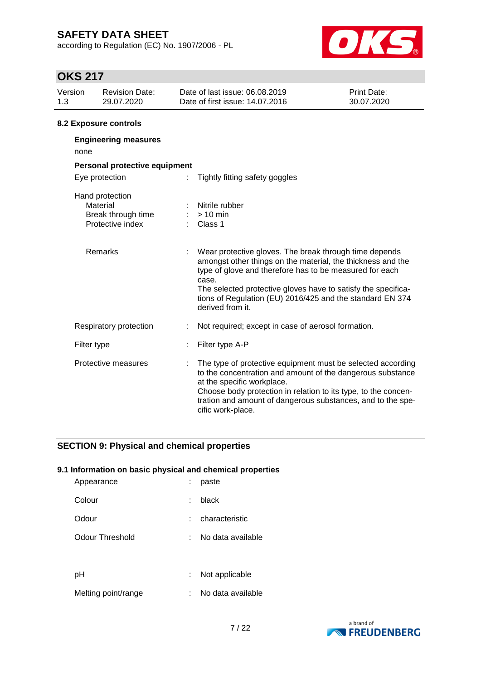according to Regulation (EC) No. 1907/2006 - PL



## **OKS 217**

| JI NU LII             |                                                                       |  |                                                                                                                                                                                                                                                                                                                                             |  |  |  |  |  |  |
|-----------------------|-----------------------------------------------------------------------|--|---------------------------------------------------------------------------------------------------------------------------------------------------------------------------------------------------------------------------------------------------------------------------------------------------------------------------------------------|--|--|--|--|--|--|
| Version<br>1.3        | <b>Revision Date:</b><br>29.07.2020                                   |  | Date of last issue: 06.08.2019<br>Print Date:<br>Date of first issue: 14.07.2016<br>30.07.2020                                                                                                                                                                                                                                              |  |  |  |  |  |  |
| 8.2 Exposure controls |                                                                       |  |                                                                                                                                                                                                                                                                                                                                             |  |  |  |  |  |  |
| none                  | <b>Engineering measures</b>                                           |  |                                                                                                                                                                                                                                                                                                                                             |  |  |  |  |  |  |
|                       | Personal protective equipment                                         |  |                                                                                                                                                                                                                                                                                                                                             |  |  |  |  |  |  |
|                       | Eye protection                                                        |  | Tightly fitting safety goggles                                                                                                                                                                                                                                                                                                              |  |  |  |  |  |  |
|                       | Hand protection<br>Material<br>Break through time<br>Protective index |  | Nitrile rubber<br>$> 10$ min<br>Class 1                                                                                                                                                                                                                                                                                                     |  |  |  |  |  |  |
|                       | Remarks                                                               |  | Wear protective gloves. The break through time depends<br>amongst other things on the material, the thickness and the<br>type of glove and therefore has to be measured for each<br>case.<br>The selected protective gloves have to satisfy the specifica-<br>tions of Regulation (EU) 2016/425 and the standard EN 374<br>derived from it. |  |  |  |  |  |  |
|                       | Respiratory protection                                                |  | Not required; except in case of aerosol formation.                                                                                                                                                                                                                                                                                          |  |  |  |  |  |  |
|                       | Filter type                                                           |  | Filter type A-P                                                                                                                                                                                                                                                                                                                             |  |  |  |  |  |  |
|                       | Protective measures                                                   |  | The type of protective equipment must be selected according<br>to the concentration and amount of the dangerous substance<br>at the specific workplace.<br>Choose body protection in relation to its type, to the concen-<br>tration and amount of dangerous substances, and to the spe-<br>cific work-place.                               |  |  |  |  |  |  |

### **SECTION 9: Physical and chemical properties**

### **9.1 Information on basic physical and chemical properties**

| Appearance          | paste             |
|---------------------|-------------------|
| Colour              | black             |
| Odour               | characteristic    |
| Odour Threshold     | No data available |
|                     |                   |
| рH                  | Not applicable    |
| Melting point/range | No data available |

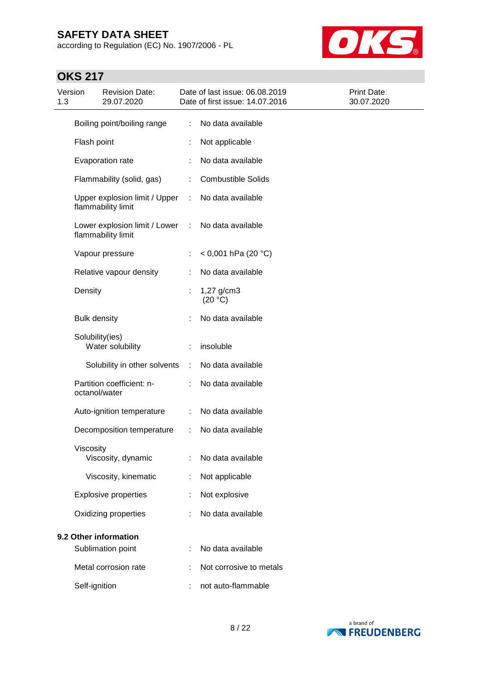according to Regulation (EC) No. 1907/2006 - PL



| Version<br>1.3        |                     | <b>Revision Date:</b><br>29.07.2020                 |   | Date of last issue: 06.08.2019<br>Date of first issue: 14.07.2016 | Print Date:<br>30.07.2020 |
|-----------------------|---------------------|-----------------------------------------------------|---|-------------------------------------------------------------------|---------------------------|
|                       |                     | Boiling point/boiling range                         | ÷ | No data available                                                 |                           |
|                       | Flash point         |                                                     |   | Not applicable                                                    |                           |
|                       |                     | Evaporation rate                                    |   | No data available                                                 |                           |
|                       |                     | Flammability (solid, gas)                           | ÷ | <b>Combustible Solids</b>                                         |                           |
|                       |                     | Upper explosion limit / Upper<br>flammability limit | ÷ | No data available                                                 |                           |
|                       |                     | Lower explosion limit / Lower<br>flammability limit | ÷ | No data available                                                 |                           |
|                       |                     | Vapour pressure                                     |   | $<$ 0,001 hPa (20 °C)                                             |                           |
|                       |                     | Relative vapour density                             |   | No data available                                                 |                           |
|                       | Density             |                                                     |   | 1,27 g/cm3<br>(20 °C)                                             |                           |
|                       | <b>Bulk density</b> |                                                     |   | No data available                                                 |                           |
|                       | Solubility(ies)     | Water solubility                                    |   | insoluble                                                         |                           |
|                       |                     | Solubility in other solvents                        | ÷ | No data available                                                 |                           |
|                       | octanol/water       | Partition coefficient: n-                           |   | No data available                                                 |                           |
|                       |                     | Auto-ignition temperature                           | ÷ | No data available                                                 |                           |
|                       |                     | Decomposition temperature                           | ÷ | No data available                                                 |                           |
|                       | Viscosity           | Viscosity, dynamic                                  |   | No data available                                                 |                           |
|                       |                     | Viscosity, kinematic                                |   | Not applicable                                                    |                           |
|                       |                     | <b>Explosive properties</b>                         |   | Not explosive                                                     |                           |
|                       |                     | Oxidizing properties                                |   | No data available                                                 |                           |
| 9.2 Other information |                     |                                                     |   |                                                                   |                           |
|                       |                     | Sublimation point                                   |   | No data available                                                 |                           |
|                       |                     | Metal corrosion rate                                |   | Not corrosive to metals                                           |                           |
|                       | Self-ignition       |                                                     |   | not auto-flammable                                                |                           |

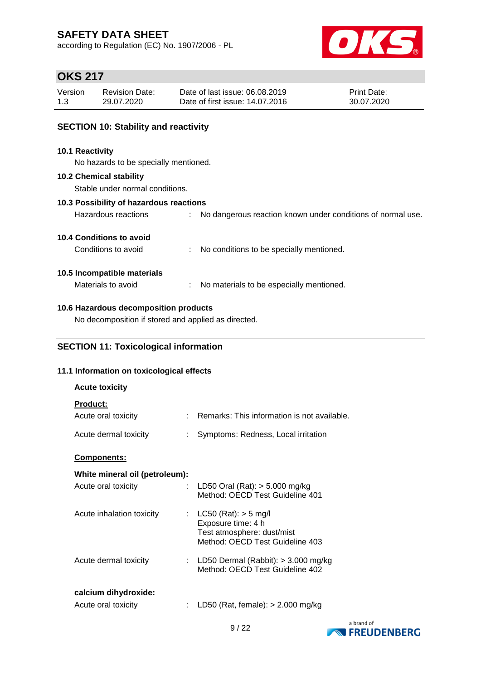according to Regulation (EC) No. 1907/2006 - PL



## **OKS 217**

| Version | <b>Revision Date:</b> | Date of last issue: 06.08.2019  | <b>Print Date:</b> |
|---------|-----------------------|---------------------------------|--------------------|
| 1.3     | 29.07.2020            | Date of first issue: 14.07.2016 | 30.07.2020         |
|         |                       |                                 |                    |

### **SECTION 10: Stability and reactivity**

#### **10.1 Reactivity**

No hazards to be specially mentioned.

#### **10.2 Chemical stability**

Stable under normal conditions.

### **10.3 Possibility of hazardous reactions**

| Hazardous reactions |  |  |  |  |  | No dangerous reaction known under conditions of normal use. |  |  |
|---------------------|--|--|--|--|--|-------------------------------------------------------------|--|--|
|---------------------|--|--|--|--|--|-------------------------------------------------------------|--|--|

### **10.4 Conditions to avoid**

Conditions to avoid : No conditions to be specially mentioned.

### **10.5 Incompatible materials**

Materials to avoid : No materials to be especially mentioned.

### **10.6 Hazardous decomposition products**

No decomposition if stored and applied as directed.

### **SECTION 11: Toxicological information**

### **11.1 Information on toxicological effects**

| <b>Acute toxicity</b>                       |                             |                                                                                                                 |
|---------------------------------------------|-----------------------------|-----------------------------------------------------------------------------------------------------------------|
| <b>Product:</b><br>Acute oral toxicity      | $\mathbf{r}_{\mathrm{max}}$ | Remarks: This information is not available.                                                                     |
| Acute dermal toxicity                       |                             | Symptoms: Redness, Local irritation                                                                             |
| <b>Components:</b>                          |                             |                                                                                                                 |
| White mineral oil (petroleum):              |                             |                                                                                                                 |
| Acute oral toxicity                         |                             | : LD50 Oral (Rat): $>$ 5.000 mg/kg<br>Method: OECD Test Guideline 401                                           |
| Acute inhalation toxicity                   |                             | : $LC50 (Rat): > 5 mg/l$<br>Exposure time: 4 h<br>Test atmosphere: dust/mist<br>Method: OECD Test Guideline 403 |
| Acute dermal toxicity                       |                             | : LD50 Dermal (Rabbit): $>$ 3.000 mg/kg<br>Method: OECD Test Guideline 402                                      |
| calcium dihydroxide:<br>Acute oral toxicity |                             | LD50 (Rat, female): $>$ 2.000 mg/kg                                                                             |

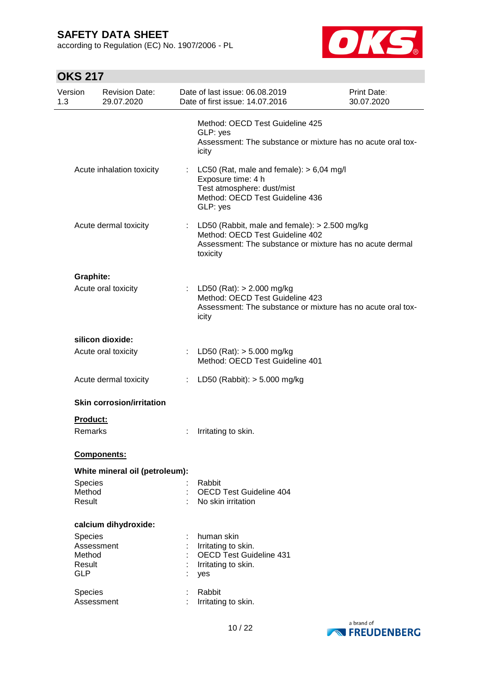according to Regulation (EC) No. 1907/2006 - PL



| Version<br>1.3              | <b>Revision Date:</b><br>29.07.2020 |    | Date of last issue: 06.08.2019<br>Date of first issue: 14.07.2016                                                                                          | <b>Print Date:</b><br>30.07.2020 |
|-----------------------------|-------------------------------------|----|------------------------------------------------------------------------------------------------------------------------------------------------------------|----------------------------------|
|                             |                                     |    | Method: OECD Test Guideline 425<br>GLP: yes<br>Assessment: The substance or mixture has no acute oral tox-<br>icity                                        |                                  |
|                             | Acute inhalation toxicity           | ÷. | LC50 (Rat, male and female): $> 6,04$ mg/l<br>Exposure time: 4 h<br>Test atmosphere: dust/mist<br>Method: OECD Test Guideline 436<br>GLP: yes              |                                  |
|                             | Acute dermal toxicity               | ÷. | LD50 (Rabbit, male and female): $> 2.500$ mg/kg<br>Method: OECD Test Guideline 402<br>Assessment: The substance or mixture has no acute dermal<br>toxicity |                                  |
| <b>Graphite:</b>            |                                     |    |                                                                                                                                                            |                                  |
|                             | Acute oral toxicity                 |    | : LD50 (Rat): $> 2.000$ mg/kg<br>Method: OECD Test Guideline 423<br>Assessment: The substance or mixture has no acute oral tox-<br>icity                   |                                  |
|                             | silicon dioxide:                    |    |                                                                                                                                                            |                                  |
|                             | Acute oral toxicity                 |    | : LD50 (Rat): $>$ 5.000 mg/kg<br>Method: OECD Test Guideline 401                                                                                           |                                  |
|                             | Acute dermal toxicity               |    | : LD50 (Rabbit): $> 5.000$ mg/kg                                                                                                                           |                                  |
|                             | <b>Skin corrosion/irritation</b>    |    |                                                                                                                                                            |                                  |
| Product:                    |                                     |    |                                                                                                                                                            |                                  |
| Remarks                     |                                     |    | Irritating to skin.                                                                                                                                        |                                  |
|                             | Components:                         |    |                                                                                                                                                            |                                  |
|                             | White mineral oil (petroleum):      |    |                                                                                                                                                            |                                  |
| Species<br>Method<br>Result |                                     |    | Rabbit<br><b>OECD Test Guideline 404</b><br>No skin irritation                                                                                             |                                  |
|                             | calcium dihydroxide:                |    |                                                                                                                                                            |                                  |
| <b>Species</b>              |                                     |    | human skin                                                                                                                                                 |                                  |
| Method                      | Assessment                          |    | Irritating to skin.<br><b>OECD Test Guideline 431</b>                                                                                                      |                                  |
| Result<br><b>GLP</b>        |                                     |    | Irritating to skin.<br>yes                                                                                                                                 |                                  |
| Species                     | Assessment                          |    | Rabbit<br>Irritating to skin.                                                                                                                              |                                  |
|                             |                                     |    |                                                                                                                                                            |                                  |

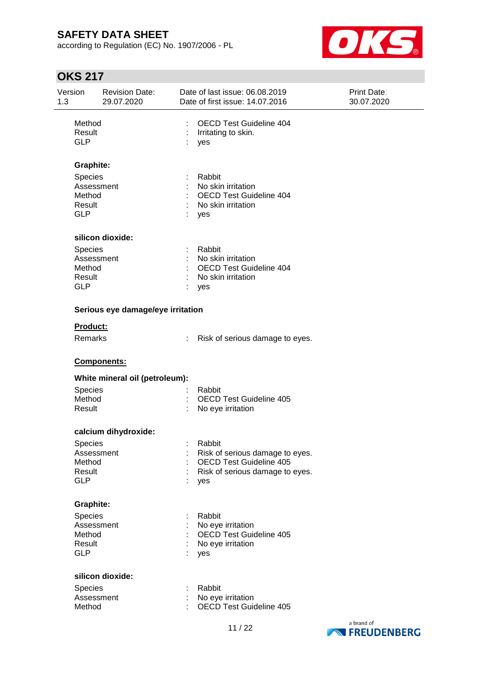according to Regulation (EC) No. 1907/2006 - PL



| Version<br><b>Revision Date:</b><br>1.3<br>29.07.2020 |                                                                |                                   | Date of last issue: 06.08.2019<br>Print Date:<br>Date of first issue: 14.07.2016<br>30.07.2020 |                                                                                                                |            |
|-------------------------------------------------------|----------------------------------------------------------------|-----------------------------------|------------------------------------------------------------------------------------------------|----------------------------------------------------------------------------------------------------------------|------------|
|                                                       | Method<br>Result<br><b>GLP</b>                                 |                                   | ÷<br>yes                                                                                       | <b>OECD Test Guideline 404</b><br>Irritating to skin.                                                          |            |
|                                                       | <b>Graphite:</b>                                               |                                   |                                                                                                |                                                                                                                |            |
|                                                       | Species<br>Assessment<br>Method<br>Result<br><b>GLP</b>        |                                   | yes                                                                                            | Rabbit<br>No skin irritation<br>OECD Test Guideline 404<br>No skin irritation                                  |            |
|                                                       |                                                                | silicon dioxide:                  |                                                                                                |                                                                                                                |            |
|                                                       | Species<br>Assessment<br>Method<br>Result<br><b>GLP</b>        |                                   | yes                                                                                            | Rabbit<br>No skin irritation<br><b>OECD Test Guideline 404</b><br>No skin irritation                           |            |
|                                                       |                                                                | Serious eye damage/eye irritation |                                                                                                |                                                                                                                |            |
|                                                       | Product:<br>Remarks                                            |                                   |                                                                                                | Risk of serious damage to eyes.                                                                                |            |
|                                                       |                                                                | Components:                       |                                                                                                |                                                                                                                |            |
|                                                       |                                                                | White mineral oil (petroleum):    |                                                                                                |                                                                                                                |            |
|                                                       | Species<br>Method<br>Result                                    |                                   |                                                                                                | Rabbit<br><b>OECD Test Guideline 405</b><br>No eye irritation                                                  |            |
|                                                       |                                                                | calcium dihydroxide:              |                                                                                                |                                                                                                                |            |
|                                                       | Species<br>Assessment<br>Method<br>Result<br><b>GLP</b>        |                                   | yes                                                                                            | Rabbit<br>Risk of serious damage to eyes.<br><b>OECD Test Guideline 405</b><br>Risk of serious damage to eyes. |            |
|                                                       | <b>Graphite:</b>                                               |                                   |                                                                                                |                                                                                                                |            |
|                                                       | <b>Species</b><br>Assessment<br>Method<br>Result<br><b>GLP</b> |                                   | yes                                                                                            | Rabbit<br>No eye irritation<br>OECD Test Guideline 405<br>No eye irritation                                    |            |
|                                                       |                                                                | silicon dioxide:                  |                                                                                                |                                                                                                                |            |
|                                                       | Species<br>Assessment<br>Method                                |                                   |                                                                                                | Rabbit<br>No eye irritation<br><b>OECD Test Guideline 405</b>                                                  |            |
|                                                       |                                                                |                                   |                                                                                                | $\sim$                                                                                                         | a brand of |

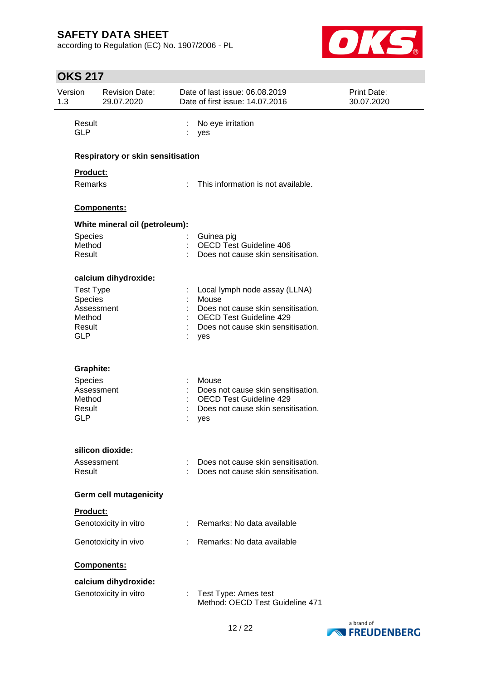according to Regulation (EC) No. 1907/2006 - PL



| 1.3 | Version<br><b>Revision Date:</b><br>Date of last issue: 06.08.2019<br>29.07.2020<br>Date of first issue: 14.07.2016 |                                          | <b>Print Date:</b><br>30.07.2020 |                                                                      |  |
|-----|---------------------------------------------------------------------------------------------------------------------|------------------------------------------|----------------------------------|----------------------------------------------------------------------|--|
|     | Result<br><b>GLP</b>                                                                                                |                                          | ÷.                               | No eye irritation<br>yes                                             |  |
|     |                                                                                                                     | <b>Respiratory or skin sensitisation</b> |                                  |                                                                      |  |
|     | Product:                                                                                                            |                                          |                                  |                                                                      |  |
|     | <b>Remarks</b>                                                                                                      |                                          |                                  | This information is not available.                                   |  |
|     |                                                                                                                     | Components:                              |                                  |                                                                      |  |
|     |                                                                                                                     | White mineral oil (petroleum):           |                                  |                                                                      |  |
|     | <b>Species</b>                                                                                                      |                                          |                                  | Guinea pig                                                           |  |
|     | Method<br>Result                                                                                                    |                                          |                                  | <b>OECD Test Guideline 406</b><br>Does not cause skin sensitisation. |  |
|     |                                                                                                                     | calcium dihydroxide:                     |                                  |                                                                      |  |
|     | <b>Test Type</b>                                                                                                    |                                          |                                  | Local lymph node assay (LLNA)                                        |  |
|     | Species<br>Assessment                                                                                               |                                          |                                  | Mouse<br>Does not cause skin sensitisation.                          |  |
|     | Method                                                                                                              |                                          |                                  | <b>OECD Test Guideline 429</b>                                       |  |
|     | Result<br><b>GLP</b>                                                                                                |                                          |                                  | Does not cause skin sensitisation.<br>yes                            |  |
|     | <b>Graphite:</b>                                                                                                    |                                          |                                  |                                                                      |  |
|     | Species                                                                                                             |                                          |                                  | Mouse                                                                |  |
|     | Assessment                                                                                                          |                                          |                                  | Does not cause skin sensitisation.                                   |  |
|     | Method<br>Result                                                                                                    |                                          |                                  | <b>OECD Test Guideline 429</b><br>Does not cause skin sensitisation. |  |
|     | <b>GLP</b>                                                                                                          |                                          |                                  | yes                                                                  |  |
|     |                                                                                                                     | silicon dioxide:                         |                                  |                                                                      |  |
|     | Assessment                                                                                                          |                                          |                                  | Does not cause skin sensitisation.                                   |  |
|     | Result                                                                                                              |                                          |                                  | Does not cause skin sensitisation.                                   |  |
|     |                                                                                                                     | <b>Germ cell mutagenicity</b>            |                                  |                                                                      |  |
|     | Product:                                                                                                            |                                          |                                  |                                                                      |  |
|     |                                                                                                                     | Genotoxicity in vitro                    |                                  | Remarks: No data available                                           |  |
|     |                                                                                                                     | Genotoxicity in vivo                     |                                  | Remarks: No data available                                           |  |
|     |                                                                                                                     | Components:                              |                                  |                                                                      |  |
|     |                                                                                                                     | calcium dihydroxide:                     |                                  |                                                                      |  |
|     |                                                                                                                     | Genotoxicity in vitro                    |                                  | Test Type: Ames test<br>Method: OECD Test Guideline 471              |  |

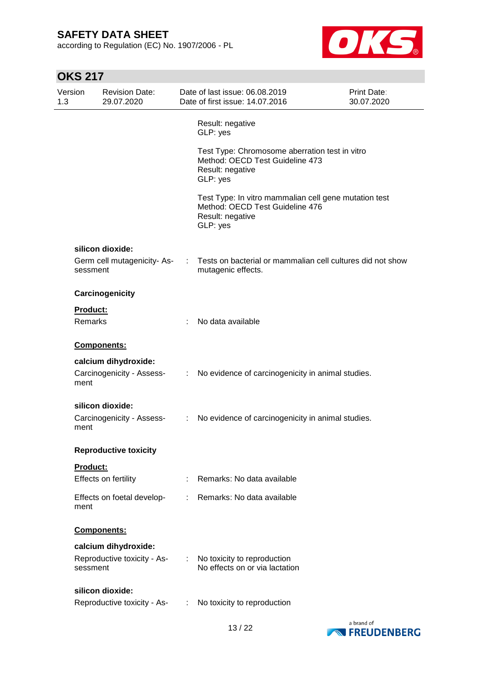according to Regulation (EC) No. 1907/2006 - PL



| Version<br>1.3 | <b>Revision Date:</b><br>29.07.2020     |   | Date of last issue: 06.08.2019<br>Date of first issue: 14.07.2016                                                        | <b>Print Date:</b><br>30.07.2020 |
|----------------|-----------------------------------------|---|--------------------------------------------------------------------------------------------------------------------------|----------------------------------|
|                |                                         |   | Result: negative<br>GLP: yes                                                                                             |                                  |
|                |                                         |   | Test Type: Chromosome aberration test in vitro<br>Method: OECD Test Guideline 473<br>Result: negative<br>GLP: yes        |                                  |
|                |                                         |   | Test Type: In vitro mammalian cell gene mutation test<br>Method: OECD Test Guideline 476<br>Result: negative<br>GLP: yes |                                  |
|                | silicon dioxide:                        |   |                                                                                                                          |                                  |
|                | Germ cell mutagenicity-As-<br>sessment  |   | Tests on bacterial or mammalian cell cultures did not show<br>mutagenic effects.                                         |                                  |
|                | Carcinogenicity                         |   |                                                                                                                          |                                  |
|                | Product:                                |   |                                                                                                                          |                                  |
|                | <b>Remarks</b>                          |   | No data available                                                                                                        |                                  |
|                | Components:                             |   |                                                                                                                          |                                  |
|                | calcium dihydroxide:                    |   |                                                                                                                          |                                  |
| ment           | Carcinogenicity - Assess-               | ÷ | No evidence of carcinogenicity in animal studies.                                                                        |                                  |
|                | silicon dioxide:                        |   |                                                                                                                          |                                  |
| ment           | Carcinogenicity - Assess-               | ÷ | No evidence of carcinogenicity in animal studies.                                                                        |                                  |
|                | <b>Reproductive toxicity</b>            |   |                                                                                                                          |                                  |
|                | <b>Product:</b>                         |   |                                                                                                                          |                                  |
|                | Effects on fertility                    |   | Remarks: No data available                                                                                               |                                  |
| ment           | Effects on foetal develop-              |   | Remarks: No data available                                                                                               |                                  |
|                | Components:                             |   |                                                                                                                          |                                  |
|                | calcium dihydroxide:                    |   |                                                                                                                          |                                  |
|                | Reproductive toxicity - As-<br>sessment |   | No toxicity to reproduction<br>No effects on or via lactation                                                            |                                  |
|                | silicon dioxide:                        |   |                                                                                                                          |                                  |
|                | Reproductive toxicity - As-             |   | No toxicity to reproduction                                                                                              |                                  |

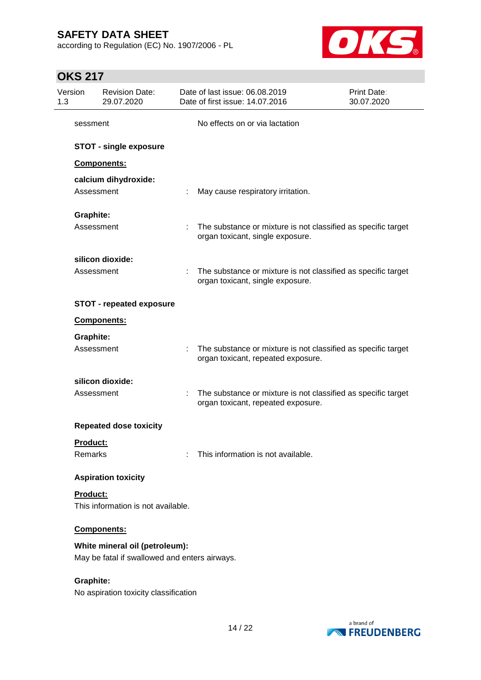according to Regulation (EC) No. 1907/2006 - PL



| Version<br>1.3   | <b>Revision Date:</b><br>29.07.2020                                             |   | Date of last issue: 06.08.2019<br>Date of first issue: 14.07.2016                                   | <b>Print Date:</b><br>30.07.2020 |
|------------------|---------------------------------------------------------------------------------|---|-----------------------------------------------------------------------------------------------------|----------------------------------|
| sessment         |                                                                                 |   | No effects on or via lactation                                                                      |                                  |
|                  | <b>STOT - single exposure</b>                                                   |   |                                                                                                     |                                  |
|                  | Components:                                                                     |   |                                                                                                     |                                  |
|                  | calcium dihydroxide:<br>Assessment                                              |   | May cause respiratory irritation.                                                                   |                                  |
| <b>Graphite:</b> |                                                                                 |   |                                                                                                     |                                  |
|                  | Assessment                                                                      |   | The substance or mixture is not classified as specific target<br>organ toxicant, single exposure.   |                                  |
|                  | silicon dioxide:                                                                |   |                                                                                                     |                                  |
|                  | Assessment                                                                      |   | The substance or mixture is not classified as specific target<br>organ toxicant, single exposure.   |                                  |
|                  | <b>STOT - repeated exposure</b>                                                 |   |                                                                                                     |                                  |
|                  | <b>Components:</b>                                                              |   |                                                                                                     |                                  |
| <b>Graphite:</b> |                                                                                 |   |                                                                                                     |                                  |
|                  | Assessment                                                                      |   | The substance or mixture is not classified as specific target<br>organ toxicant, repeated exposure. |                                  |
|                  | silicon dioxide:                                                                |   |                                                                                                     |                                  |
|                  | Assessment                                                                      | ÷ | The substance or mixture is not classified as specific target<br>organ toxicant, repeated exposure. |                                  |
|                  | <b>Repeated dose toxicity</b>                                                   |   |                                                                                                     |                                  |
| <u>Product:</u>  |                                                                                 |   |                                                                                                     |                                  |
| Remarks          |                                                                                 |   | This information is not available.                                                                  |                                  |
|                  | <b>Aspiration toxicity</b>                                                      |   |                                                                                                     |                                  |
| Product:         | This information is not available.                                              |   |                                                                                                     |                                  |
|                  | <b>Components:</b>                                                              |   |                                                                                                     |                                  |
|                  | White mineral oil (petroleum):<br>May be fatal if swallowed and enters airways. |   |                                                                                                     |                                  |
| <b>Graphite:</b> | No aspiration toxicity classification                                           |   |                                                                                                     |                                  |

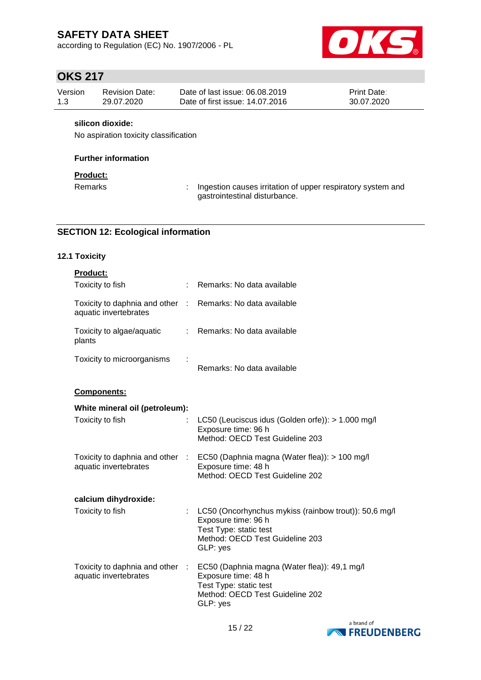according to Regulation (EC) No. 1907/2006 - PL



# **OKS 217**

| Version | Revision Date: | Date of last issue: 06.08.2019  | <b>Print Date:</b> |
|---------|----------------|---------------------------------|--------------------|
| 1.3     | 29.07.2020     | Date of first issue: 14.07.2016 | 30.07.2020         |

### **silicon dioxide:**

No aspiration toxicity classification

### **Further information**

### **Product:**

Remarks : Ingestion causes irritation of upper respiratory system and gastrointestinal disturbance.

### **SECTION 12: Ecological information**

### **12.1 Toxicity**

| Product:                                                 |               |                                                                                                                                                       |
|----------------------------------------------------------|---------------|-------------------------------------------------------------------------------------------------------------------------------------------------------|
| Toxicity to fish                                         |               | Remarks: No data available                                                                                                                            |
| Toxicity to daphnia and other :<br>aquatic invertebrates |               | Remarks: No data available                                                                                                                            |
| Toxicity to algae/aquatic<br>plants                      | $\mathcal{L}$ | Remarks: No data available                                                                                                                            |
| Toxicity to microorganisms                               |               | Remarks: No data available                                                                                                                            |
| <b>Components:</b>                                       |               |                                                                                                                                                       |
| White mineral oil (petroleum):                           |               |                                                                                                                                                       |
| Toxicity to fish                                         |               | LC50 (Leuciscus idus (Golden orfe)): > 1.000 mg/l<br>Exposure time: 96 h<br>Method: OECD Test Guideline 203                                           |
| Toxicity to daphnia and other :<br>aquatic invertebrates |               | EC50 (Daphnia magna (Water flea)): > 100 mg/l<br>Exposure time: 48 h<br>Method: OECD Test Guideline 202                                               |
| calcium dihydroxide:                                     |               |                                                                                                                                                       |
| Toxicity to fish                                         |               | LC50 (Oncorhynchus mykiss (rainbow trout)): 50,6 mg/l<br>Exposure time: 96 h<br>Test Type: static test<br>Method: OECD Test Guideline 203<br>GLP: yes |
| Toxicity to daphnia and other :<br>aquatic invertebrates |               | EC50 (Daphnia magna (Water flea)): 49,1 mg/l<br>Exposure time: 48 h<br>Test Type: static test<br>Method: OECD Test Guideline 202<br>GLP: yes          |

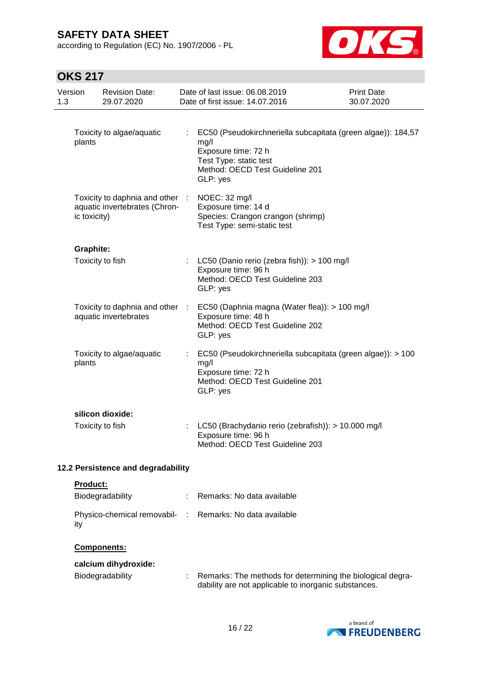according to Regulation (EC) No. 1907/2006 - PL



| Version                            |                  | <b>Revision Date:</b>                                        | Date of last issue: 06.08.2019                                                                                                                                                        | Print Date: |
|------------------------------------|------------------|--------------------------------------------------------------|---------------------------------------------------------------------------------------------------------------------------------------------------------------------------------------|-------------|
| 1.3                                |                  | 29.07.2020                                                   | Date of first issue: 14.07.2016                                                                                                                                                       | 30.07.2020  |
|                                    | plants           | Toxicity to algae/aquatic<br>Toxicity to daphnia and other : | EC50 (Pseudokirchneriella subcapitata (green algae)): 184,57<br>mg/l<br>Exposure time: 72 h<br>Test Type: static test<br>Method: OECD Test Guideline 201<br>GLP: yes<br>NOEC: 32 mg/l |             |
|                                    | ic toxicity)     | aquatic invertebrates (Chron-                                | Exposure time: 14 d<br>Species: Crangon crangon (shrimp)<br>Test Type: semi-static test                                                                                               |             |
|                                    | <b>Graphite:</b> |                                                              |                                                                                                                                                                                       |             |
|                                    |                  | Toxicity to fish                                             | LC50 (Danio rerio (zebra fish)): > 100 mg/l<br>Exposure time: 96 h<br>Method: OECD Test Guideline 203<br>GLP: yes                                                                     |             |
|                                    |                  | Toxicity to daphnia and other :<br>aquatic invertebrates     | EC50 (Daphnia magna (Water flea)): > 100 mg/l<br>Exposure time: 48 h<br>Method: OECD Test Guideline 202<br>GLP: yes                                                                   |             |
|                                    | plants           | Toxicity to algae/aquatic                                    | EC50 (Pseudokirchneriella subcapitata (green algae)): > 100<br>mg/l<br>Exposure time: 72 h<br>Method: OECD Test Guideline 201<br>GLP: yes                                             |             |
|                                    |                  | silicon dioxide:                                             |                                                                                                                                                                                       |             |
|                                    |                  | Toxicity to fish                                             | LC50 (Brachydanio rerio (zebrafish)): > 10.000 mg/l<br>Exposure time: 96 h<br>Method: OECD Test Guideline 203                                                                         |             |
| 12.2 Persistence and degradability |                  |                                                              |                                                                                                                                                                                       |             |
|                                    | Product:         |                                                              |                                                                                                                                                                                       |             |
|                                    |                  | Biodegradability                                             | Remarks: No data available                                                                                                                                                            |             |
|                                    | ity              |                                                              | Physico-chemical removabil- : Remarks: No data available                                                                                                                              |             |
|                                    |                  | Components:                                                  |                                                                                                                                                                                       |             |
|                                    |                  | calcium dihydroxide:                                         |                                                                                                                                                                                       |             |
|                                    |                  | Biodegradability                                             | Remarks: The methods for determining the biological degra-<br>dability are not applicable to inorganic substances.                                                                    |             |

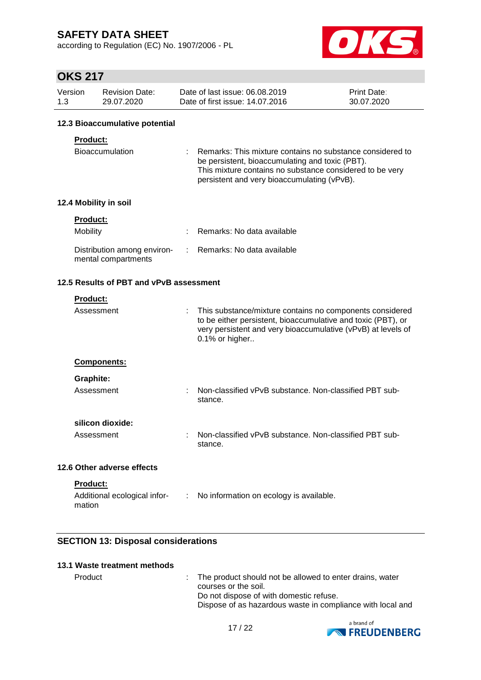according to Regulation (EC) No. 1907/2006 - PL



## **OKS 217**

| Version | Revision Date: | Date of last issue: 06.08.2019  | <b>Print Date:</b> |
|---------|----------------|---------------------------------|--------------------|
| 1.3     | 29.07.2020     | Date of first issue: 14.07.2016 | 30.07.2020         |

### **12.3 Bioaccumulative potential**

### **Product:**

| Bioaccumulation | : Remarks: This mixture contains no substance considered to |
|-----------------|-------------------------------------------------------------|
|                 | be persistent, bioaccumulating and toxic (PBT).             |
|                 | This mixture contains no substance considered to be very    |
|                 | persistent and very bioaccumulating (vPvB).                 |

### **12.4 Mobility in soil**

| <b>Product:</b>                                    |                              |
|----------------------------------------------------|------------------------------|
| Mobility                                           | : Remarks: No data available |
| Distribution among environ-<br>mental compartments | : Remarks: No data available |

### **12.5 Results of PBT and vPvB assessment**

| <b>Product:</b>                                                |                                                                                                                                                                                                            |
|----------------------------------------------------------------|------------------------------------------------------------------------------------------------------------------------------------------------------------------------------------------------------------|
| Assessment                                                     | This substance/mixture contains no components considered<br>to be either persistent, bioaccumulative and toxic (PBT), or<br>very persistent and very bioaccumulative (vPvB) at levels of<br>0.1% or higher |
| <b>Components:</b>                                             |                                                                                                                                                                                                            |
| Graphite:                                                      |                                                                                                                                                                                                            |
| Assessment                                                     | Non-classified vPvB substance. Non-classified PBT sub-<br>stance.                                                                                                                                          |
| silicon dioxide:                                               |                                                                                                                                                                                                            |
| Assessment                                                     | Non-classified vPvB substance. Non-classified PBT sub-<br>stance.                                                                                                                                          |
| 12.6 Other adverse effects                                     |                                                                                                                                                                                                            |
| <b>Product:</b><br>Additional ecological infor-<br>÷<br>mation | No information on ecology is available.                                                                                                                                                                    |

### **SECTION 13: Disposal considerations**

### **13.1 Waste treatment methods**

Product : The product should not be allowed to enter drains, water courses or the soil. Do not dispose of with domestic refuse. Dispose of as hazardous waste in compliance with local and

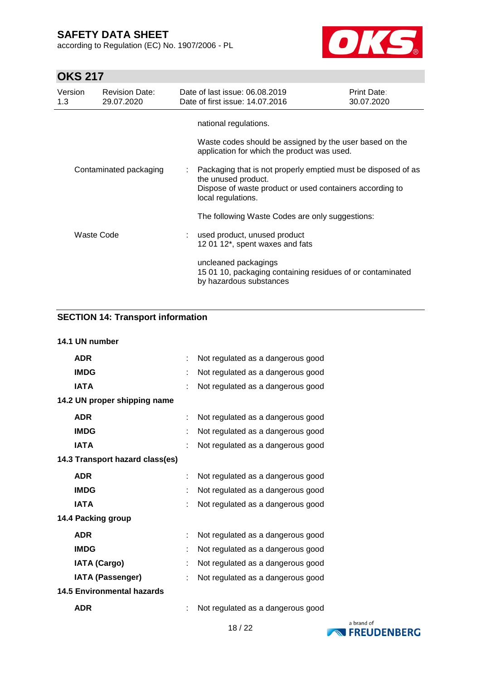according to Regulation (EC) No. 1907/2006 - PL



## **OKS 217**

| Version<br>1.3         | <b>Revision Date:</b><br>29.07.2020 | Date of last issue: 06.08.2019<br>Date of first issue: 14.07.2016                                                                                                      | Print Date:<br>30.07.2020 |
|------------------------|-------------------------------------|------------------------------------------------------------------------------------------------------------------------------------------------------------------------|---------------------------|
|                        |                                     | national regulations.<br>Waste codes should be assigned by the user based on the<br>application for which the product was used.                                        |                           |
| Contaminated packaging |                                     | Packaging that is not properly emptied must be disposed of as<br>the unused product.<br>Dispose of waste product or used containers according to<br>local regulations. |                           |
|                        |                                     | The following Waste Codes are only suggestions:                                                                                                                        |                           |
| Waste Code             |                                     | used product, unused product<br>12 01 12*, spent waxes and fats                                                                                                        |                           |
|                        |                                     | uncleaned packagings<br>15 01 10, packaging containing residues of or contaminated<br>by hazardous substances                                                          |                           |

### **SECTION 14: Transport information**

| 14.1 UN number                    |   |                                   |
|-----------------------------------|---|-----------------------------------|
| <b>ADR</b>                        | ÷ | Not regulated as a dangerous good |
| <b>IMDG</b>                       |   | Not regulated as a dangerous good |
| <b>IATA</b>                       |   | Not regulated as a dangerous good |
| 14.2 UN proper shipping name      |   |                                   |
| <b>ADR</b>                        |   | Not regulated as a dangerous good |
| <b>IMDG</b>                       |   | Not regulated as a dangerous good |
| <b>IATA</b>                       |   | Not regulated as a dangerous good |
| 14.3 Transport hazard class(es)   |   |                                   |
| <b>ADR</b>                        |   | Not regulated as a dangerous good |
| <b>IMDG</b>                       |   | Not regulated as a dangerous good |
| <b>IATA</b>                       |   | Not regulated as a dangerous good |
| 14.4 Packing group                |   |                                   |
| <b>ADR</b>                        |   | Not regulated as a dangerous good |
| <b>IMDG</b>                       |   | Not regulated as a dangerous good |
| <b>IATA (Cargo)</b>               |   | Not regulated as a dangerous good |
| <b>IATA (Passenger)</b>           |   | Not regulated as a dangerous good |
| <b>14.5 Environmental hazards</b> |   |                                   |
| <b>ADR</b>                        |   | Not regulated as a dangerous good |

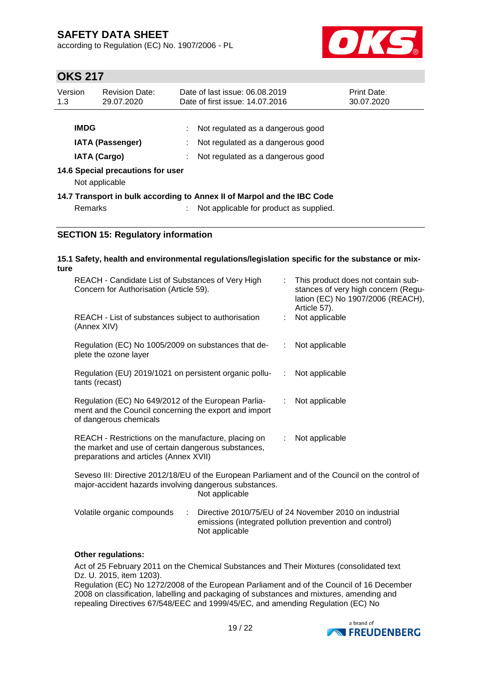according to Regulation (EC) No. 1907/2006 - PL



### **OKS 217**

| Version<br>1.3                                 | <b>Revision Date:</b><br>29.07.2020                 | Date of last issue: 06.08.2019<br>Date of first issue: 14.07.2016       | <b>Print Date:</b><br>30.07.2020 |  |
|------------------------------------------------|-----------------------------------------------------|-------------------------------------------------------------------------|----------------------------------|--|
| <b>IMDG</b>                                    |                                                     | Not regulated as a dangerous good                                       |                                  |  |
| <b>IATA (Passenger)</b><br><b>IATA (Cargo)</b> |                                                     | Not regulated as a dangerous good<br>Not regulated as a dangerous good  |                                  |  |
|                                                | 14.6 Special precautions for user<br>Not applicable |                                                                         |                                  |  |
|                                                |                                                     | 14.7 Transport in bulk according to Annex II of Marpol and the IBC Code |                                  |  |
| <b>Remarks</b>                                 |                                                     | Not applicable for product as supplied.                                 |                                  |  |

### **SECTION 15: Regulatory information**

#### **15.1 Safety, health and environmental regulations/legislation specific for the substance or mixture** REACH - Candidate List of Substances of Very High : This product does not contain sub-

| REACH - Candidate List of Substances of Very High<br>Concern for Authorisation (Article 59).                                                         |    | This product does not contain sub-<br>stances of very high concern (Regu-<br>lation (EC) No 1907/2006 (REACH),<br>Article 57). |
|------------------------------------------------------------------------------------------------------------------------------------------------------|----|--------------------------------------------------------------------------------------------------------------------------------|
| REACH - List of substances subject to authorisation<br>(Annex XIV)                                                                                   |    | Not applicable                                                                                                                 |
| Regulation (EC) No 1005/2009 on substances that de-<br>plete the ozone layer                                                                         | ÷. | Not applicable                                                                                                                 |
| Regulation (EU) 2019/1021 on persistent organic pollu-<br>tants (recast)                                                                             | ÷. | Not applicable                                                                                                                 |
| Regulation (EC) No 649/2012 of the European Parlia-<br>ment and the Council concerning the export and import<br>of dangerous chemicals               |    | : Not applicable                                                                                                               |
| REACH - Restrictions on the manufacture, placing on<br>the market and use of certain dangerous substances,<br>preparations and articles (Annex XVII) |    | $:$ Not applicable                                                                                                             |

Seveso III: Directive 2012/18/EU of the European Parliament and of the Council on the control of major-accident hazards involving dangerous substances. Not applicable

| Volatile organic compounds | Directive 2010/75/EU of 24 November 2010 on industrial  |
|----------------------------|---------------------------------------------------------|
|                            | emissions (integrated pollution prevention and control) |
|                            | Not applicable                                          |

### **Other regulations:**

Act of 25 February 2011 on the Chemical Substances and Their Mixtures (consolidated text Dz. U. 2015, item 1203).

Regulation (EC) No 1272/2008 of the European Parliament and of the Council of 16 December 2008 on classification, labelling and packaging of substances and mixtures, amending and repealing Directives 67/548/EEC and 1999/45/EC, and amending Regulation (EC) No

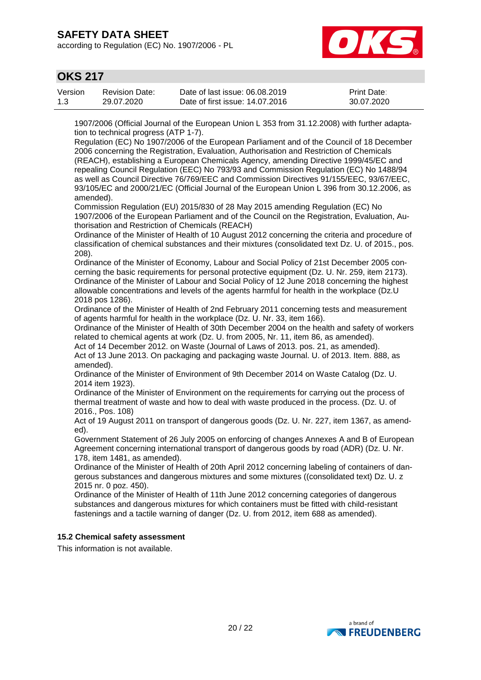according to Regulation (EC) No. 1907/2006 - PL



### **OKS 217**

| Version | <b>Revision Date:</b> | Date of last issue: 06.08.2019  | <b>Print Date:</b> |
|---------|-----------------------|---------------------------------|--------------------|
| 1.3     | 29.07.2020            | Date of first issue: 14.07.2016 | 30.07.2020         |

1907/2006 (Official Journal of the European Union L 353 from 31.12.2008) with further adaptation to technical progress (ATP 1-7).

Regulation (EC) No 1907/2006 of the European Parliament and of the Council of 18 December 2006 concerning the Registration, Evaluation, Authorisation and Restriction of Chemicals (REACH), establishing a European Chemicals Agency, amending Directive 1999/45/EC and repealing Council Regulation (EEC) No 793/93 and Commission Regulation (EC) No 1488/94 as well as Council Directive 76/769/EEC and Commission Directives 91/155/EEC, 93/67/EEC, 93/105/EC and 2000/21/EC (Official Journal of the European Union L 396 from 30.12.2006, as amended).

Commission Regulation (EU) 2015/830 of 28 May 2015 amending Regulation (EC) No 1907/2006 of the European Parliament and of the Council on the Registration, Evaluation, Authorisation and Restriction of Chemicals (REACH)

Ordinance of the Minister of Health of 10 August 2012 concerning the criteria and procedure of classification of chemical substances and their mixtures (consolidated text Dz. U. of 2015., pos. 208).

Ordinance of the Minister of Economy, Labour and Social Policy of 21st December 2005 concerning the basic requirements for personal protective equipment (Dz. U. Nr. 259, item 2173). Ordinance of the Minister of Labour and Social Policy of 12 June 2018 concerning the highest allowable concentrations and levels of the agents harmful for health in the workplace (Dz.U 2018 pos 1286).

Ordinance of the Minister of Health of 2nd February 2011 concerning tests and measurement of agents harmful for health in the workplace (Dz. U. Nr. 33, item 166).

Ordinance of the Minister of Health of 30th December 2004 on the health and safety of workers related to chemical agents at work (Dz. U. from 2005, Nr. 11, item 86, as amended).

Act of 14 December 2012. on Waste (Journal of Laws of 2013. pos. 21, as amended). Act of 13 June 2013. On packaging and packaging waste Journal. U. of 2013. Item. 888, as amended).

Ordinance of the Minister of Environment of 9th December 2014 on Waste Catalog (Dz. U. 2014 item 1923).

Ordinance of the Minister of Environment on the requirements for carrying out the process of thermal treatment of waste and how to deal with waste produced in the process. (Dz. U. of 2016., Pos. 108)

Act of 19 August 2011 on transport of dangerous goods (Dz. U. Nr. 227, item 1367, as amended).

Government Statement of 26 July 2005 on enforcing of changes Annexes A and B of European Agreement concerning international transport of dangerous goods by road (ADR) (Dz. U. Nr. 178, item 1481, as amended).

Ordinance of the Minister of Health of 20th April 2012 concerning labeling of containers of dangerous substances and dangerous mixtures and some mixtures ((consolidated text) Dz. U. z 2015 nr. 0 poz. 450).

Ordinance of the Minister of Health of 11th June 2012 concerning categories of dangerous substances and dangerous mixtures for which containers must be fitted with child-resistant fastenings and a tactile warning of danger (Dz. U. from 2012, item 688 as amended).

### **15.2 Chemical safety assessment**

This information is not available.

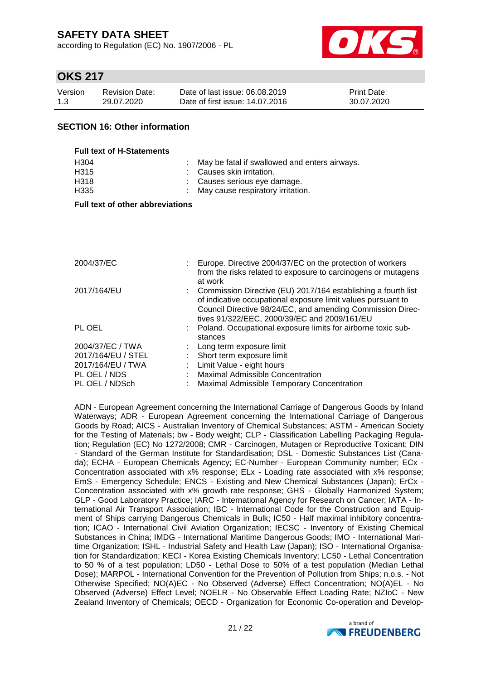according to Regulation (EC) No. 1907/2006 - PL



### **OKS 217**

| Version | <b>Revision Date:</b> | Date of last issue: 06.08.2019  | <b>Print Date:</b> |
|---------|-----------------------|---------------------------------|--------------------|
| 1.3     | 29.07.2020            | Date of first issue: 14.07.2016 | 30.07.2020         |

### **SECTION 16: Other information**

| <b>Full text of H-Statements</b> |                                                 |
|----------------------------------|-------------------------------------------------|
| H <sub>304</sub>                 | : May be fatal if swallowed and enters airways. |
| H <sub>315</sub>                 | : Causes skin irritation.                       |
| H318                             | : Causes serious eye damage.                    |
| H <sub>335</sub>                 | : May cause respiratory irritation.             |

#### **Full text of other abbreviations**

| Europe. Directive 2004/37/EC on the protection of workers<br>from the risks related to exposure to carcinogens or mutagens                                                                               |
|----------------------------------------------------------------------------------------------------------------------------------------------------------------------------------------------------------|
| at work<br>: Commission Directive (EU) 2017/164 establishing a fourth list<br>of indicative occupational exposure limit values pursuant to<br>Council Directive 98/24/EC, and amending Commission Direc- |
| tives 91/322/EEC, 2000/39/EC and 2009/161/EU<br>: Poland. Occupational exposure limits for airborne toxic sub-<br>stances                                                                                |
| : Long term exposure limit                                                                                                                                                                               |
| : Short term exposure limit                                                                                                                                                                              |
| : Limit Value - eight hours                                                                                                                                                                              |
| Maximal Admissible Concentration                                                                                                                                                                         |
| Maximal Admissible Temporary Concentration                                                                                                                                                               |
|                                                                                                                                                                                                          |

ADN - European Agreement concerning the International Carriage of Dangerous Goods by Inland Waterways; ADR - European Agreement concerning the International Carriage of Dangerous Goods by Road; AICS - Australian Inventory of Chemical Substances; ASTM - American Society for the Testing of Materials; bw - Body weight; CLP - Classification Labelling Packaging Regulation; Regulation (EC) No 1272/2008; CMR - Carcinogen, Mutagen or Reproductive Toxicant; DIN - Standard of the German Institute for Standardisation; DSL - Domestic Substances List (Canada); ECHA - European Chemicals Agency; EC-Number - European Community number; ECx - Concentration associated with x% response; ELx - Loading rate associated with x% response; EmS - Emergency Schedule; ENCS - Existing and New Chemical Substances (Japan); ErCx - Concentration associated with x% growth rate response; GHS - Globally Harmonized System; GLP - Good Laboratory Practice; IARC - International Agency for Research on Cancer; IATA - International Air Transport Association; IBC - International Code for the Construction and Equipment of Ships carrying Dangerous Chemicals in Bulk; IC50 - Half maximal inhibitory concentration; ICAO - International Civil Aviation Organization; IECSC - Inventory of Existing Chemical Substances in China; IMDG - International Maritime Dangerous Goods; IMO - International Maritime Organization; ISHL - Industrial Safety and Health Law (Japan); ISO - International Organisation for Standardization; KECI - Korea Existing Chemicals Inventory; LC50 - Lethal Concentration to 50 % of a test population; LD50 - Lethal Dose to 50% of a test population (Median Lethal Dose); MARPOL - International Convention for the Prevention of Pollution from Ships; n.o.s. - Not Otherwise Specified; NO(A)EC - No Observed (Adverse) Effect Concentration; NO(A)EL - No Observed (Adverse) Effect Level; NOELR - No Observable Effect Loading Rate; NZIoC - New Zealand Inventory of Chemicals; OECD - Organization for Economic Co-operation and Develop-